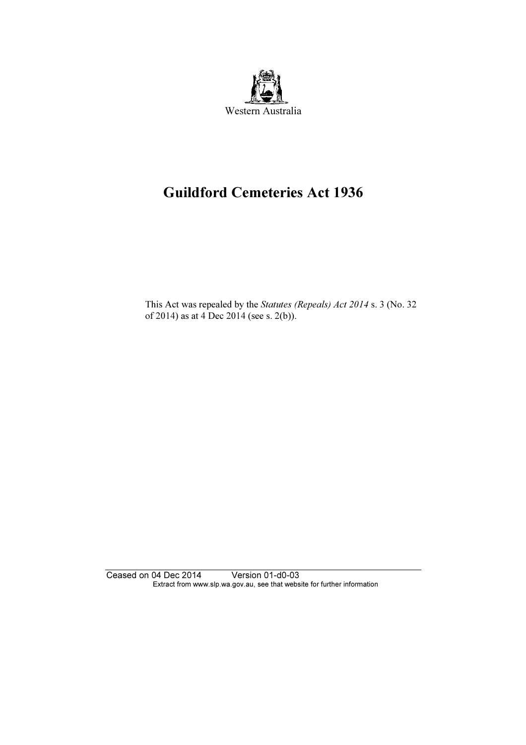

# Guildford Cemeteries Act 1936

 This Act was repealed by the Statutes (Repeals) Act 2014 s. 3 (No. 32 of 2014) as at 4 Dec 2014 (see s. 2(b)).

Ceased on 04 Dec 2014 Version 01-d0-03 Extract from www.slp.wa.gov.au, see that website for further information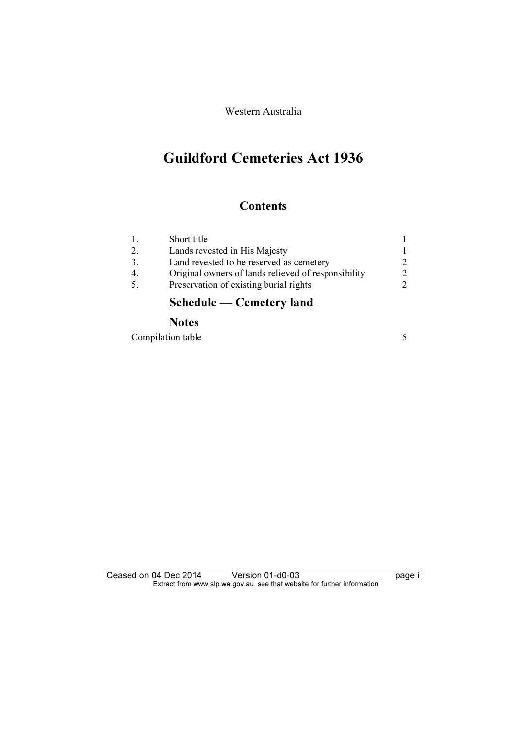Western Australia

## Guildford Cemeteries Act 1936

## **Contents**

|     | Schedule — Cemetery land                            |                             |
|-----|-----------------------------------------------------|-----------------------------|
| -5. | Preservation of existing burial rights              | $\mathcal{D}$               |
| 4.  | Original owners of lands relieved of responsibility | $\mathcal{D}_{\mathcal{L}}$ |
| 3.  | Land revested to be reserved as cemetery            | $\mathcal{D}_{\mathcal{A}}$ |
| 2.  | Lands revested in His Majesty                       |                             |
|     | Short title                                         |                             |

## **Notes**

Compilation table 5

Ceased on 04 Dec 2014 Version 01-d0-03 page i Extract from www.slp.wa.gov.au, see that website for further information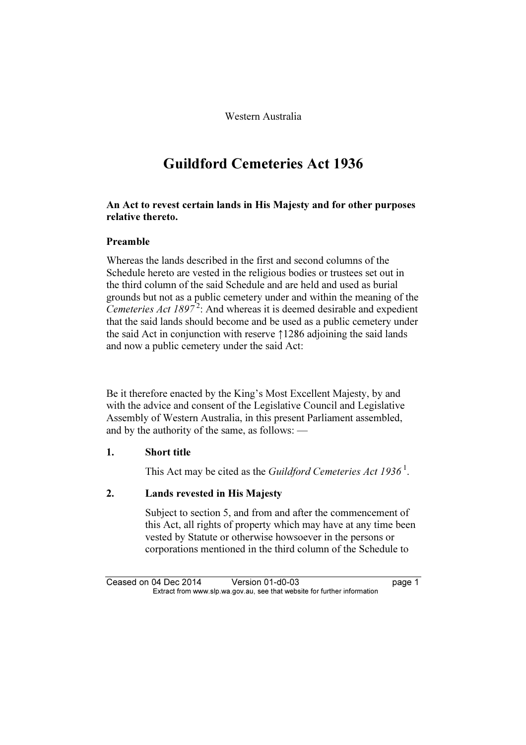Western Australia

## Guildford Cemeteries Act 1936

### An Act to revest certain lands in His Majesty and for other purposes relative thereto.

### Preamble

Whereas the lands described in the first and second columns of the Schedule hereto are vested in the religious bodies or trustees set out in the third column of the said Schedule and are held and used as burial grounds but not as a public cemetery under and within the meaning of the Cemeteries Act  $1897^2$ : And whereas it is deemed desirable and expedient that the said lands should become and be used as a public cemetery under the said Act in conjunction with reserve ↑1286 adjoining the said lands and now a public cemetery under the said Act:

Be it therefore enacted by the King's Most Excellent Majesty, by and with the advice and consent of the Legislative Council and Legislative Assembly of Western Australia, in this present Parliament assembled, and by the authority of the same, as follows: —

### 1. Short title

This Act may be cited as the *Guildford Cemeteries Act* 1936<sup>1</sup>.

## 2. Lands revested in His Majesty

 Subject to section 5, and from and after the commencement of this Act, all rights of property which may have at any time been vested by Statute or otherwise howsoever in the persons or corporations mentioned in the third column of the Schedule to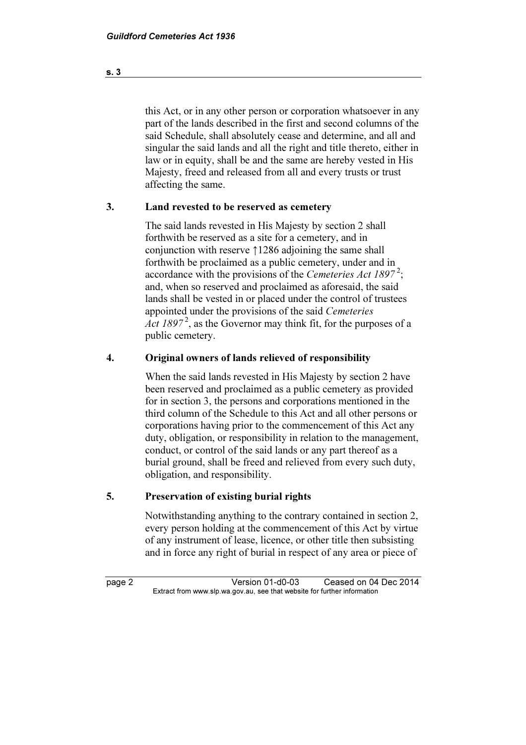this Act, or in any other person or corporation whatsoever in any part of the lands described in the first and second columns of the said Schedule, shall absolutely cease and determine, and all and singular the said lands and all the right and title thereto, either in law or in equity, shall be and the same are hereby vested in His Majesty, freed and released from all and every trusts or trust affecting the same.

### 3. Land revested to be reserved as cemetery

 The said lands revested in His Majesty by section 2 shall forthwith be reserved as a site for a cemetery, and in conjunction with reserve ↑1286 adjoining the same shall forthwith be proclaimed as a public cemetery, under and in accordance with the provisions of the Cemeteries Act 1897<sup>2</sup>; and, when so reserved and proclaimed as aforesaid, the said lands shall be vested in or placed under the control of trustees appointed under the provisions of the said Cemeteries Act  $1897<sup>2</sup>$ , as the Governor may think fit, for the purposes of a public cemetery.

#### 4. Original owners of lands relieved of responsibility

 When the said lands revested in His Majesty by section 2 have been reserved and proclaimed as a public cemetery as provided for in section 3, the persons and corporations mentioned in the third column of the Schedule to this Act and all other persons or corporations having prior to the commencement of this Act any duty, obligation, or responsibility in relation to the management, conduct, or control of the said lands or any part thereof as a burial ground, shall be freed and relieved from every such duty, obligation, and responsibility.

### 5. Preservation of existing burial rights

 Notwithstanding anything to the contrary contained in section 2, every person holding at the commencement of this Act by virtue of any instrument of lease, licence, or other title then subsisting and in force any right of burial in respect of any area or piece of

page 2 Version 01-d0-03 Ceased on 04 Dec 2014<br>Extract from www.slp.wa.gov.au, see that website for further information  $\mathbf{F}$  from which was the set that we besite for further information  $\mathbf{F}$ 

s. 3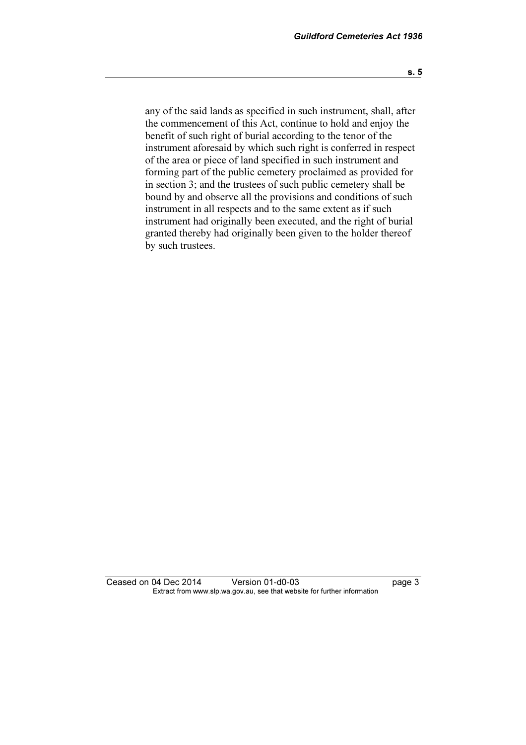any of the said lands as specified in such instrument, shall, after the commencement of this Act, continue to hold and enjoy the benefit of such right of burial according to the tenor of the instrument aforesaid by which such right is conferred in respect of the area or piece of land specified in such instrument and forming part of the public cemetery proclaimed as provided for in section 3; and the trustees of such public cemetery shall be bound by and observe all the provisions and conditions of such instrument in all respects and to the same extent as if such instrument had originally been executed, and the right of burial granted thereby had originally been given to the holder thereof by such trustees.

Ceased on 04 Dec 2014 Version 01-d0-03 page 3<br>Extract from www.slp.wa.gov.au, see that website for further information  $\mathbf{F}$  from which was the set that we besite for further information  $\mathbf{F}$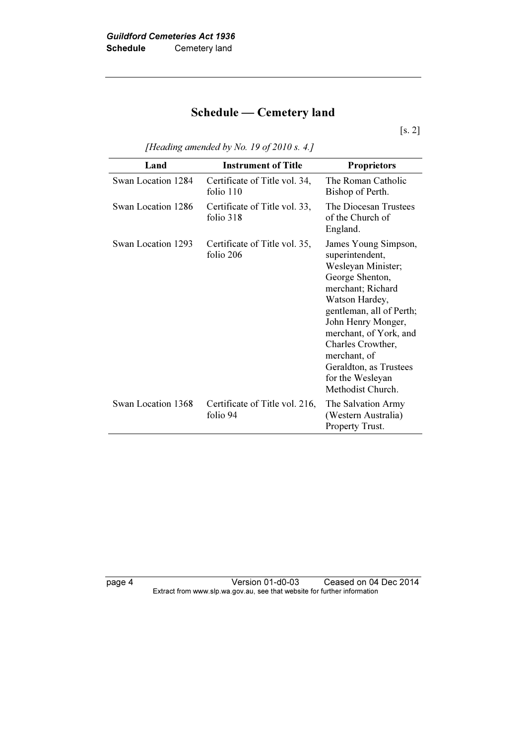## Schedule — Cemetery land

[s. 2]

| [Heading amended by No. 19 of 2010 s. 4.] |  |
|-------------------------------------------|--|
|-------------------------------------------|--|

| Land               | <b>Instrument of Title</b>                   | <b>Proprietors</b>                                                                                                                                                                                                                                                                                          |
|--------------------|----------------------------------------------|-------------------------------------------------------------------------------------------------------------------------------------------------------------------------------------------------------------------------------------------------------------------------------------------------------------|
| Swan Location 1284 | Certificate of Title vol. 34,<br>folio $110$ | The Roman Catholic<br>Bishop of Perth.                                                                                                                                                                                                                                                                      |
| Swan Location 1286 | Certificate of Title vol. 33,<br>folio 318   | The Diocesan Trustees<br>of the Church of<br>England.                                                                                                                                                                                                                                                       |
| Swan Location 1293 | Certificate of Title vol. 35,<br>folio 206   | James Young Simpson,<br>superintendent,<br>Wesleyan Minister;<br>George Shenton,<br>merchant; Richard<br>Watson Hardey,<br>gentleman, all of Perth;<br>John Henry Monger,<br>merchant, of York, and<br>Charles Crowther,<br>merchant, of<br>Geraldton, as Trustees<br>for the Wesleyan<br>Methodist Church. |
| Swan Location 1368 | Certificate of Title vol. 216,<br>folio 94   | The Salvation Army<br>(Western Australia)<br>Property Trust.                                                                                                                                                                                                                                                |

page 4 Version 01-d0-03 Ceased on 04 Dec 2014 Extract from www.slp.wa.gov.au, see that website for further information